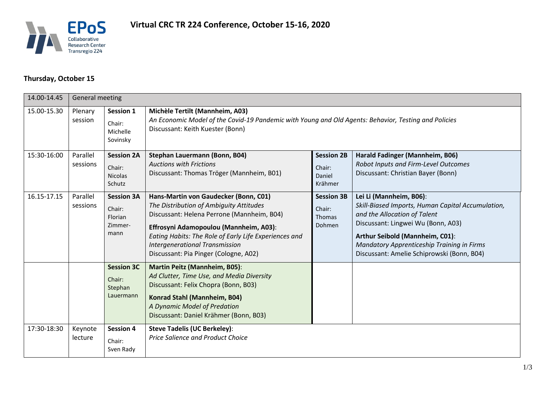

## **Thursday, October 15**

| 14.00-14.45 | <b>General meeting</b> |                                                           |                                                                                                                                                                                                                                                                                                                     |                                                               |                                                                                                                                                                                                                                                                                   |  |  |  |
|-------------|------------------------|-----------------------------------------------------------|---------------------------------------------------------------------------------------------------------------------------------------------------------------------------------------------------------------------------------------------------------------------------------------------------------------------|---------------------------------------------------------------|-----------------------------------------------------------------------------------------------------------------------------------------------------------------------------------------------------------------------------------------------------------------------------------|--|--|--|
| 15.00-15.30 | Plenary<br>session     | Session 1<br>Chair:<br>Michelle<br>Sovinsky               | Michèle Tertilt (Mannheim, A03)<br>An Economic Model of the Covid-19 Pandemic with Young and Old Agents: Behavior, Testing and Policies<br>Discussant: Keith Kuester (Bonn)                                                                                                                                         |                                                               |                                                                                                                                                                                                                                                                                   |  |  |  |
| 15:30-16:00 | Parallel<br>sessions   | <b>Session 2A</b><br>Chair:<br><b>Nicolas</b><br>Schutz   | Stephan Lauermann (Bonn, B04)<br><b>Auctions with Frictions</b><br>Discussant: Thomas Tröger (Mannheim, B01)                                                                                                                                                                                                        | <b>Session 2B</b><br>Chair:<br>Daniel<br>Krähmer              | Harald Fadinger (Mannheim, B06)<br>Robot Inputs and Firm-Level Outcomes<br>Discussant: Christian Bayer (Bonn)                                                                                                                                                                     |  |  |  |
| 16.15-17.15 | Parallel<br>sessions   | <b>Session 3A</b><br>Chair:<br>Florian<br>Zimmer-<br>mann | Hans-Martin von Gaudecker (Bonn, C01)<br>The Distribution of Ambiguity Attitudes<br>Discussant: Helena Perrone (Mannheim, B04)<br>Effrosyni Adamopoulou (Mannheim, A03):<br>Eating Habits: The Role of Early Life Experiences and<br><b>Intergenerational Transmission</b><br>Discussant: Pia Pinger (Cologne, A02) | <b>Session 3B</b><br>Chair:<br><b>Thomas</b><br><b>Dohmen</b> | Lei Li (Mannheim, B06):<br>Skill-Biased Imports, Human Capital Accumulation,<br>and the Allocation of Talent<br>Discussant: Lingwei Wu (Bonn, A03)<br>Arthur Seibold (Mannheim, C01):<br>Mandatory Apprenticeship Training in Firms<br>Discussant: Amelie Schiprowski (Bonn, B04) |  |  |  |
|             |                        | <b>Session 3C</b><br>Chair:<br>Stephan<br>Lauermann       | <b>Martin Peitz (Mannheim, B05):</b><br>Ad Clutter, Time Use, and Media Diversity<br>Discussant: Felix Chopra (Bonn, B03)<br>Konrad Stahl (Mannheim, B04)<br>A Dynamic Model of Predation<br>Discussant: Daniel Krähmer (Bonn, B03)                                                                                 |                                                               |                                                                                                                                                                                                                                                                                   |  |  |  |
| 17:30-18:30 | Keynote<br>lecture     | <b>Session 4</b><br>Chair:<br>Sven Rady                   | <b>Steve Tadelis (UC Berkeley):</b><br><b>Price Salience and Product Choice</b>                                                                                                                                                                                                                                     |                                                               |                                                                                                                                                                                                                                                                                   |  |  |  |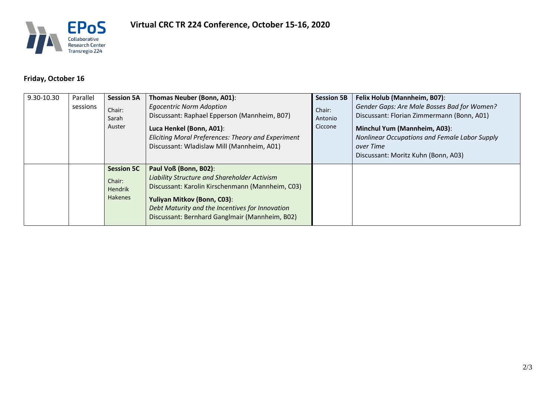

## **Friday, October 16**

| 9.30-10.30 | Parallel<br>sessions | <b>Session 5A</b><br>Chair:<br>Sarah<br>Auster                  | Thomas Neuber (Bonn, A01):<br><b>Egocentric Norm Adoption</b><br>Discussant: Raphael Epperson (Mannheim, B07)<br>Luca Henkel (Bonn, A01):<br>Eliciting Moral Preferences: Theory and Experiment<br>Discussant: Wladislaw Mill (Mannheim, A01)                 | <b>Session 5B</b><br>Chair:<br>Antonio<br>Ciccone | Felix Holub (Mannheim, B07):<br>Gender Gaps: Are Male Bosses Bad for Women?<br>Discussant: Florian Zimmermann (Bonn, A01)<br><b>Minchul Yum (Mannheim, A03):</b><br>Nonlinear Occupations and Female Labor Supply<br>over Time<br>Discussant: Moritz Kuhn (Bonn, A03) |
|------------|----------------------|-----------------------------------------------------------------|---------------------------------------------------------------------------------------------------------------------------------------------------------------------------------------------------------------------------------------------------------------|---------------------------------------------------|-----------------------------------------------------------------------------------------------------------------------------------------------------------------------------------------------------------------------------------------------------------------------|
|            |                      | <b>Session 5C</b><br>Chair:<br><b>Hendrik</b><br><b>Hakenes</b> | Paul Voß (Bonn, B02):<br>Liability Structure and Shareholder Activism<br>Discussant: Karolin Kirschenmann (Mannheim, C03)<br>Yuliyan Mitkov (Bonn, C03):<br>Debt Maturity and the Incentives for Innovation<br>Discussant: Bernhard Ganglmair (Mannheim, B02) |                                                   |                                                                                                                                                                                                                                                                       |